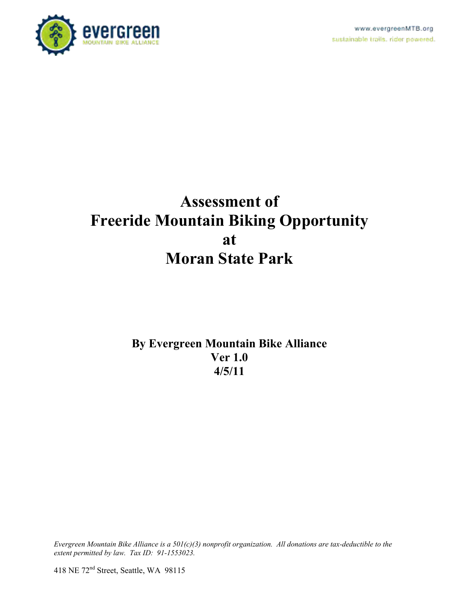

# **Assessment of Freeride Mountain Biking Opportunity at Moran State Park**

# **By Evergreen Mountain Bike Alliance Ver 1.0 4/5/11**

*Evergreen Mountain Bike Alliance is a 501(c)(3) nonprofit organization. All donations are tax-deductible to the extent permitted by law. Tax ID: 91-1553023.* 

418 NE 72nd Street, Seattle, WA 98115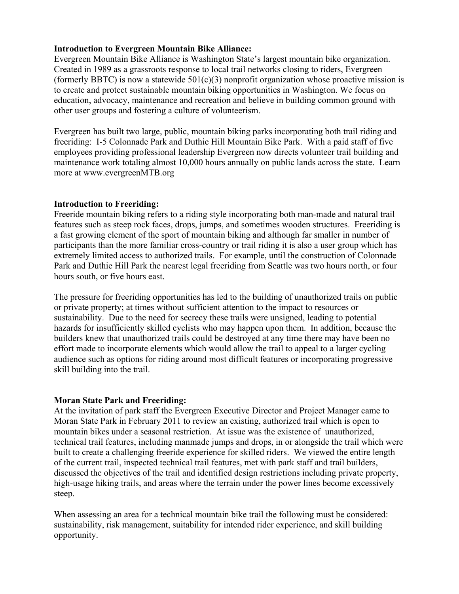#### **Introduction to Evergreen Mountain Bike Alliance:**

Evergreen Mountain Bike Alliance is Washington State's largest mountain bike organization. Created in 1989 as a grassroots response to local trail networks closing to riders, Evergreen (formerly BBTC) is now a statewide  $501(c)(3)$  nonprofit organization whose proactive mission is to create and protect sustainable mountain biking opportunities in Washington. We focus on education, advocacy, maintenance and recreation and believe in building common ground with other user groups and fostering a culture of volunteerism.

Evergreen has built two large, public, mountain biking parks incorporating both trail riding and freeriding: I-5 Colonnade Park and Duthie Hill Mountain Bike Park. With a paid staff of five employees providing professional leadership Evergreen now directs volunteer trail building and maintenance work totaling almost 10,000 hours annually on public lands across the state. Learn more at www.evergreenMTB.org

#### **Introduction to Freeriding:**

Freeride mountain biking refers to a riding style incorporating both man-made and natural trail features such as steep rock faces, drops, jumps, and sometimes wooden structures. Freeriding is a fast growing element of the sport of mountain biking and although far smaller in number of participants than the more familiar cross-country or trail riding it is also a user group which has extremely limited access to authorized trails. For example, until the construction of Colonnade Park and Duthie Hill Park the nearest legal freeriding from Seattle was two hours north, or four hours south, or five hours east.

The pressure for freeriding opportunities has led to the building of unauthorized trails on public or private property; at times without sufficient attention to the impact to resources or sustainability. Due to the need for secrecy these trails were unsigned, leading to potential hazards for insufficiently skilled cyclists who may happen upon them. In addition, because the builders knew that unauthorized trails could be destroyed at any time there may have been no effort made to incorporate elements which would allow the trail to appeal to a larger cycling audience such as options for riding around most difficult features or incorporating progressive skill building into the trail.

#### **Moran State Park and Freeriding:**

At the invitation of park staff the Evergreen Executive Director and Project Manager came to Moran State Park in February 2011 to review an existing, authorized trail which is open to mountain bikes under a seasonal restriction. At issue was the existence of unauthorized, technical trail features, including manmade jumps and drops, in or alongside the trail which were built to create a challenging freeride experience for skilled riders. We viewed the entire length of the current trail, inspected technical trail features, met with park staff and trail builders, discussed the objectives of the trail and identified design restrictions including private property, high-usage hiking trails, and areas where the terrain under the power lines become excessively steep.

When assessing an area for a technical mountain bike trail the following must be considered: sustainability, risk management, suitability for intended rider experience, and skill building opportunity.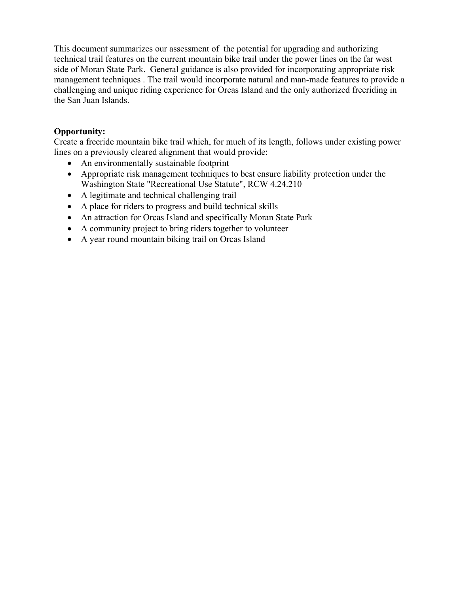This document summarizes our assessment of the potential for upgrading and authorizing technical trail features on the current mountain bike trail under the power lines on the far west side of Moran State Park. General guidance is also provided for incorporating appropriate risk management techniques . The trail would incorporate natural and man-made features to provide a challenging and unique riding experience for Orcas Island and the only authorized freeriding in the San Juan Islands.

#### **Opportunity:**

Create a freeride mountain bike trail which, for much of its length, follows under existing power lines on a previously cleared alignment that would provide:

- An environmentally sustainable footprint
- Appropriate risk management techniques to best ensure liability protection under the Washington State "Recreational Use Statute", RCW 4.24.210
- A legitimate and technical challenging trail
- A place for riders to progress and build technical skills
- An attraction for Orcas Island and specifically Moran State Park
- A community project to bring riders together to volunteer
- A year round mountain biking trail on Orcas Island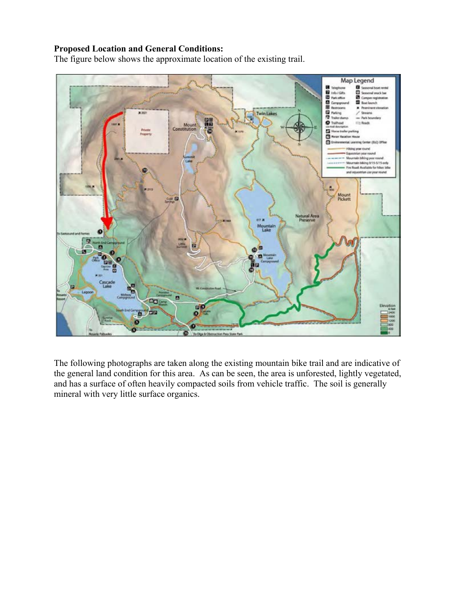#### **Proposed Location and General Conditions:**

The figure below shows the approximate location of the existing trail.



The following photographs are taken along the existing mountain bike trail and are indicative of the general land condition for this area. As can be seen, the area is unforested, lightly vegetated, and has a surface of often heavily compacted soils from vehicle traffic. The soil is generally mineral with very little surface organics.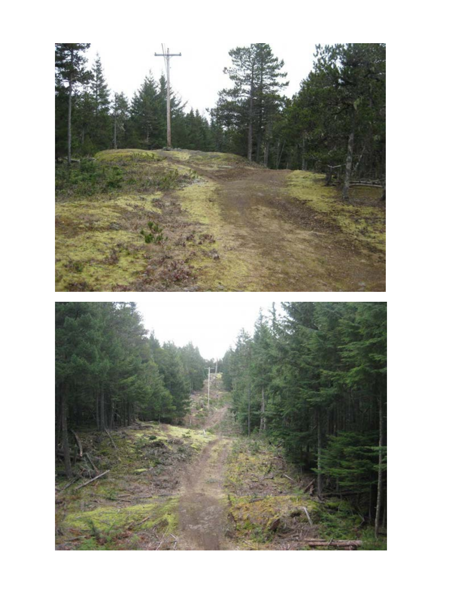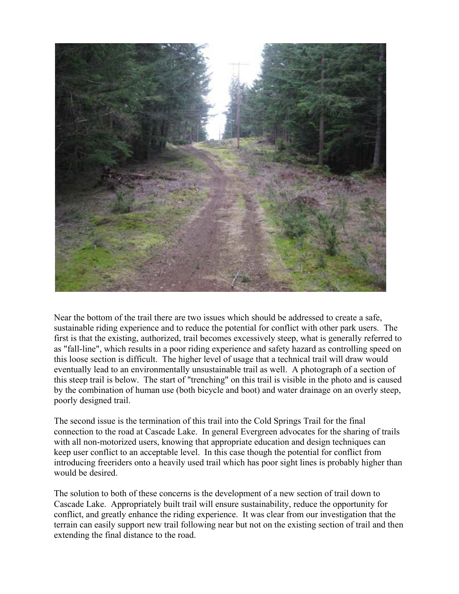

Near the bottom of the trail there are two issues which should be addressed to create a safe, sustainable riding experience and to reduce the potential for conflict with other park users. The first is that the existing, authorized, trail becomes excessively steep, what is generally referred to as "fall-line", which results in a poor riding experience and safety hazard as controlling speed on this loose section is difficult. The higher level of usage that a technical trail will draw would eventually lead to an environmentally unsustainable trail as well. A photograph of a section of this steep trail is below. The start of "trenching" on this trail is visible in the photo and is caused by the combination of human use (both bicycle and boot) and water drainage on an overly steep, poorly designed trail.

The second issue is the termination of this trail into the Cold Springs Trail for the final connection to the road at Cascade Lake. In general Evergreen advocates for the sharing of trails with all non-motorized users, knowing that appropriate education and design techniques can keep user conflict to an acceptable level. In this case though the potential for conflict from introducing freeriders onto a heavily used trail which has poor sight lines is probably higher than would be desired.

The solution to both of these concerns is the development of a new section of trail down to Cascade Lake. Appropriately built trail will ensure sustainability, reduce the opportunity for conflict, and greatly enhance the riding experience. It was clear from our investigation that the terrain can easily support new trail following near but not on the existing section of trail and then extending the final distance to the road.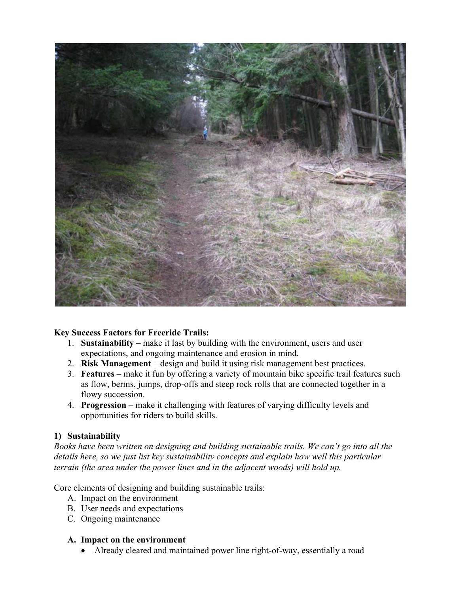

#### **Key Success Factors for Freeride Trails:**

- 1. **Sustainability** make it last by building with the environment, users and user expectations, and ongoing maintenance and erosion in mind.
- 2. **Risk Management** design and build it using risk management best practices.
- 3. **Features** make it fun by offering a variety of mountain bike specific trail features such as flow, berms, jumps, drop-offs and steep rock rolls that are connected together in a flowy succession.
- 4. **Progression** make it challenging with features of varying difficulty levels and opportunities for riders to build skills.

# **1) Sustainability**

*Books have been written on designing and building sustainable trails. We can't go into all the details here, so we just list key sustainability concepts and explain how well this particular terrain (the area under the power lines and in the adjacent woods) will hold up.* 

Core elements of designing and building sustainable trails:

- A. Impact on the environment
- B. User needs and expectations
- C. Ongoing maintenance

#### **A. Impact on the environment**

Already cleared and maintained power line right-of-way, essentially a road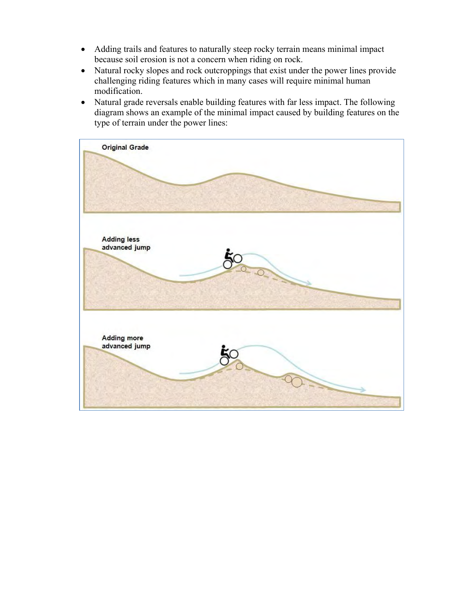- Adding trails and features to naturally steep rocky terrain means minimal impact because soil erosion is not a concern when riding on rock.
- Natural rocky slopes and rock outcroppings that exist under the power lines provide challenging riding features which in many cases will require minimal human modification.
- Natural grade reversals enable building features with far less impact. The following diagram shows an example of the minimal impact caused by building features on the type of terrain under the power lines:

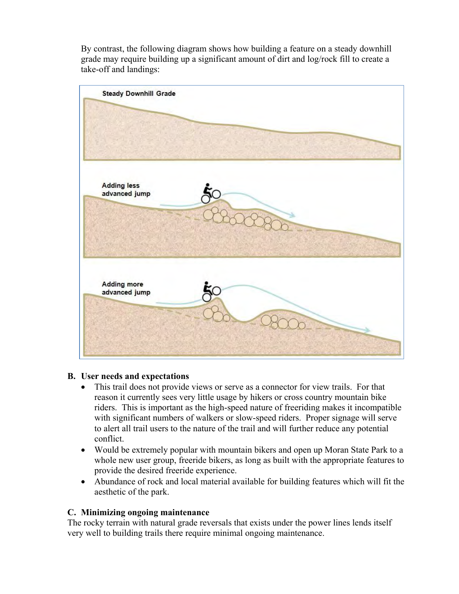By contrast, the following diagram shows how building a feature on a steady downhill grade may require building up a significant amount of dirt and log/rock fill to create a take-off and landings:



#### **B. User needs and expectations**

- This trail does not provide views or serve as a connector for view trails. For that reason it currently sees very little usage by hikers or cross country mountain bike riders. This is important as the high-speed nature of freeriding makes it incompatible with significant numbers of walkers or slow-speed riders. Proper signage will serve to alert all trail users to the nature of the trail and will further reduce any potential conflict.
- Would be extremely popular with mountain bikers and open up Moran State Park to a whole new user group, freeride bikers, as long as built with the appropriate features to provide the desired freeride experience.
- Abundance of rock and local material available for building features which will fit the aesthetic of the park.

# **C. Minimizing ongoing maintenance**

The rocky terrain with natural grade reversals that exists under the power lines lends itself very well to building trails there require minimal ongoing maintenance.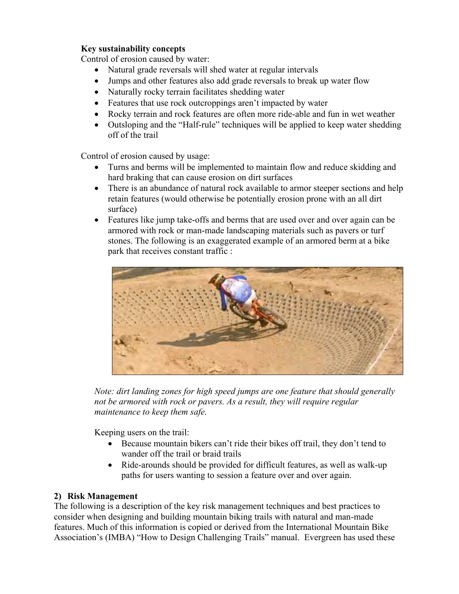#### **Key sustainability concepts**

Control of erosion caused by water:

- Natural grade reversals will shed water at regular intervals
- Jumps and other features also add grade reversals to break up water flow
- Naturally rocky terrain facilitates shedding water
- Features that use rock outcroppings aren't impacted by water
- Rocky terrain and rock features are often more ride-able and fun in wet weather
- Outsloping and the "Half-rule" techniques will be applied to keep water shedding off of the trail

Control of erosion caused by usage:

- Turns and berms will be implemented to maintain flow and reduce skidding and hard braking that can cause erosion on dirt surfaces
- There is an abundance of natural rock available to armor steeper sections and help retain features (would otherwise be potentially erosion prone with an all dirt surface)
- Features like jump take-offs and berms that are used over and over again can be armored with rock or man-made landscaping materials such as pavers or turf stones. The following is an exaggerated example of an armored berm at a bike park that receives constant traffic :



*Note: dirt landing zones for high speed jumps are one feature that should generally not be armored with rock or pavers. As a result, they will require regular maintenance to keep them safe.* 

Keeping users on the trail:

- Because mountain bikers can't ride their bikes off trail, they don't tend to wander off the trail or braid trails
- Ride-arounds should be provided for difficult features, as well as walk-up paths for users wanting to session a feature over and over again.

#### **2) Risk Management**

The following is a description of the key risk management techniques and best practices to consider when designing and building mountain biking trails with natural and man-made features. Much of this information is copied or derived from the International Mountain Bike Association's (IMBA) "How to Design Challenging Trails" manual. Evergreen has used these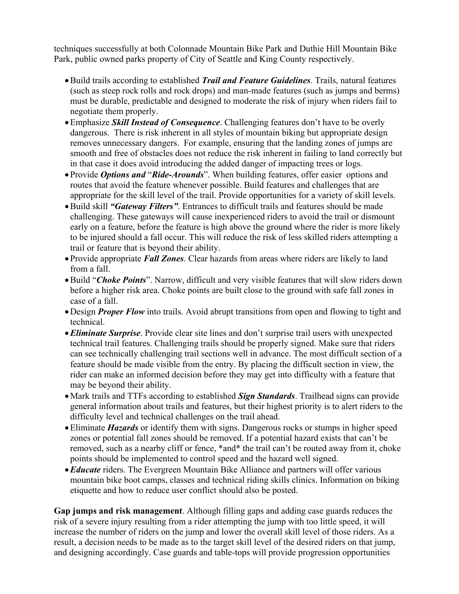techniques successfully at both Colonnade Mountain Bike Park and Duthie Hill Mountain Bike Park, public owned parks property of City of Seattle and King County respectively.

- Build trails according to established *Trail and Feature Guidelines*. Trails, natural features (such as steep rock rolls and rock drops) and man-made features (such as jumps and berms) must be durable, predictable and designed to moderate the risk of injury when riders fail to negotiate them properly.
- Emphasize *Skill Instead of Consequence*. Challenging features don't have to be overly dangerous. There is risk inherent in all styles of mountain biking but appropriate design removes unnecessary dangers. For example, ensuring that the landing zones of jumps are smooth and free of obstacles does not reduce the risk inherent in failing to land correctly but in that case it does avoid introducing the added danger of impacting trees or logs.
- Provide *Options and* "*Ride-Arounds*". When building features, offer easier options and routes that avoid the feature whenever possible. Build features and challenges that are appropriate for the skill level of the trail. Provide opportunities for a variety of skill levels.
- Build skill *"Gateway Filters"*. Entrances to difficult trails and features should be made challenging. These gateways will cause inexperienced riders to avoid the trail or dismount early on a feature, before the feature is high above the ground where the rider is more likely to be injured should a fall occur. This will reduce the risk of less skilled riders attempting a trail or feature that is beyond their ability.
- Provide appropriate *Fall Zones*. Clear hazards from areas where riders are likely to land from a fall.
- Build "*Choke Points*". Narrow, difficult and very visible features that will slow riders down before a higher risk area. Choke points are built close to the ground with safe fall zones in case of a fall.
- Design *Proper Flow* into trails. Avoid abrupt transitions from open and flowing to tight and technical.
- *Eliminate Surprise*. Provide clear site lines and don't surprise trail users with unexpected technical trail features. Challenging trails should be properly signed. Make sure that riders can see technically challenging trail sections well in advance. The most difficult section of a feature should be made visible from the entry. By placing the difficult section in view, the rider can make an informed decision before they may get into difficulty with a feature that may be beyond their ability.
- Mark trails and TTFs according to established *Sign Standards*. Trailhead signs can provide general information about trails and features, but their highest priority is to alert riders to the difficulty level and technical challenges on the trail ahead.
- Eliminate *Hazards* or identify them with signs. Dangerous rocks or stumps in higher speed zones or potential fall zones should be removed. If a potential hazard exists that can't be removed, such as a nearby cliff or fence, \*and\* the trail can't be routed away from it, choke points should be implemented to control speed and the hazard well signed.
- *Educate* riders. The Evergreen Mountain Bike Alliance and partners will offer various mountain bike boot camps, classes and technical riding skills clinics. Information on biking etiquette and how to reduce user conflict should also be posted.

**Gap jumps and risk management**. Although filling gaps and adding case guards reduces the risk of a severe injury resulting from a rider attempting the jump with too little speed, it will increase the number of riders on the jump and lower the overall skill level of those riders. As a result, a decision needs to be made as to the target skill level of the desired riders on that jump, and designing accordingly. Case guards and table-tops will provide progression opportunities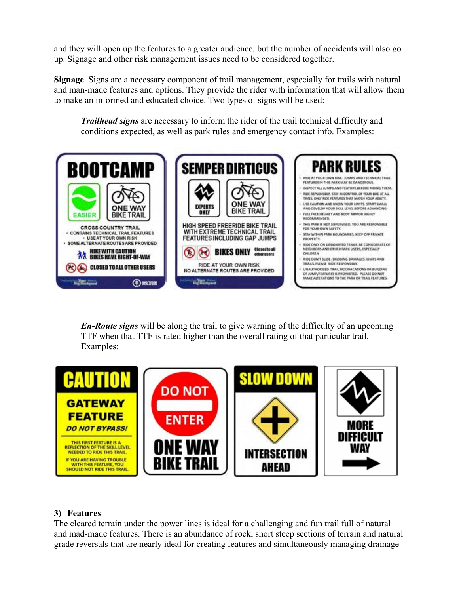and they will open up the features to a greater audience, but the number of accidents will also go up. Signage and other risk management issues need to be considered together.

**Signage**. Signs are a necessary component of trail management, especially for trails with natural and man-made features and options. They provide the rider with information that will allow them to make an informed and educated choice. Two types of signs will be used:

*Trailhead signs* are necessary to inform the rider of the trail technical difficulty and conditions expected, as well as park rules and emergency contact info. Examples:



*En-Route signs* will be along the trail to give warning of the difficulty of an upcoming TTF when that TTF is rated higher than the overall rating of that particular trail. Examples:



#### **3) Features**

The cleared terrain under the power lines is ideal for a challenging and fun trail full of natural and mad-made features. There is an abundance of rock, short steep sections of terrain and natural grade reversals that are nearly ideal for creating features and simultaneously managing drainage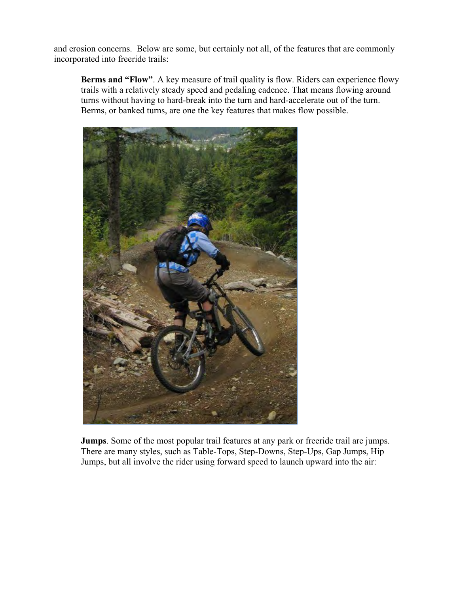and erosion concerns. Below are some, but certainly not all, of the features that are commonly incorporated into freeride trails:

**Berms and "Flow"**. A key measure of trail quality is flow. Riders can experience flowy trails with a relatively steady speed and pedaling cadence. That means flowing around turns without having to hard-break into the turn and hard-accelerate out of the turn. Berms, or banked turns, are one the key features that makes flow possible.



**Jumps**. Some of the most popular trail features at any park or freeride trail are jumps. There are many styles, such as Table-Tops, Step-Downs, Step-Ups, Gap Jumps, Hip Jumps, but all involve the rider using forward speed to launch upward into the air: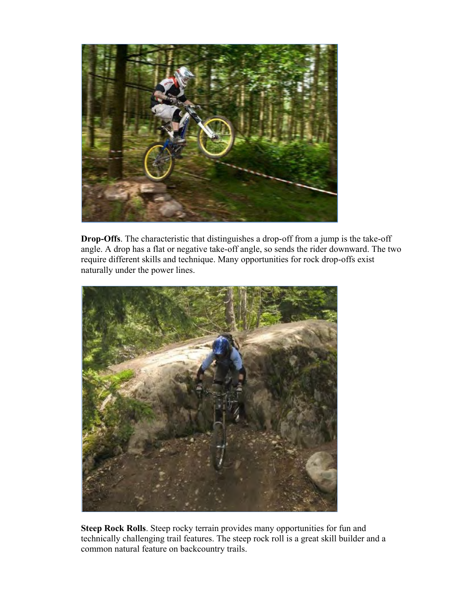

**Drop-Offs**. The characteristic that distinguishes a drop-off from a jump is the take-off angle. A drop has a flat or negative take-off angle, so sends the rider downward. The two require different skills and technique. Many opportunities for rock drop-offs exist naturally under the power lines.



**Steep Rock Rolls**. Steep rocky terrain provides many opportunities for fun and technically challenging trail features. The steep rock roll is a great skill builder and a common natural feature on backcountry trails.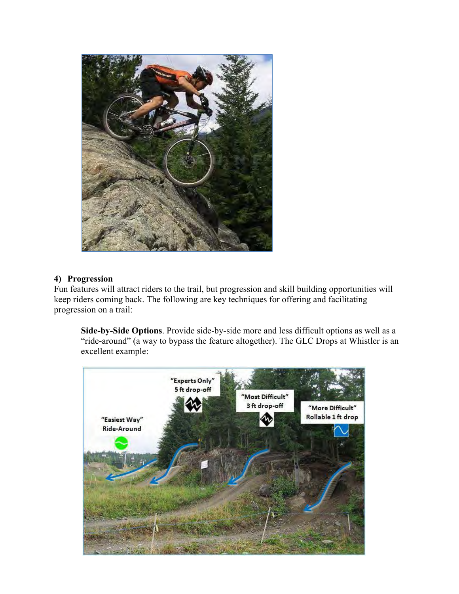

### **4) Progression**

Fun features will attract riders to the trail, but progression and skill building opportunities will keep riders coming back. The following are key techniques for offering and facilitating progression on a trail:

**Side-by-Side Options**. Provide side-by-side more and less difficult options as well as a "ride-around" (a way to bypass the feature altogether). The GLC Drops at Whistler is an excellent example:

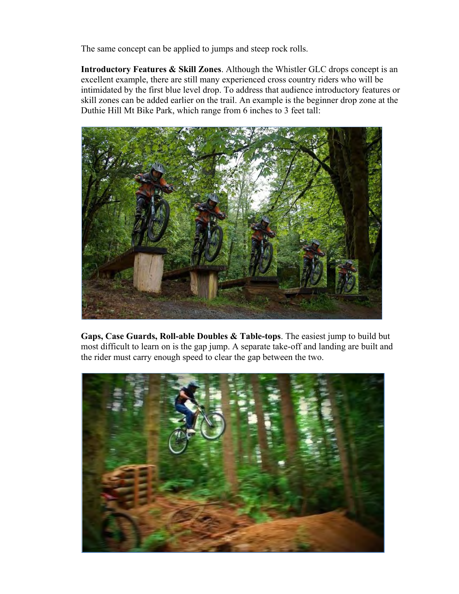The same concept can be applied to jumps and steep rock rolls.

**Introductory Features & Skill Zones**. Although the Whistler GLC drops concept is an excellent example, there are still many experienced cross country riders who will be intimidated by the first blue level drop. To address that audience introductory features or skill zones can be added earlier on the trail. An example is the beginner drop zone at the Duthie Hill Mt Bike Park, which range from 6 inches to 3 feet tall:



**Gaps, Case Guards, Roll-able Doubles & Table-tops**. The easiest jump to build but most difficult to learn on is the gap jump. A separate take-off and landing are built and the rider must carry enough speed to clear the gap between the two.

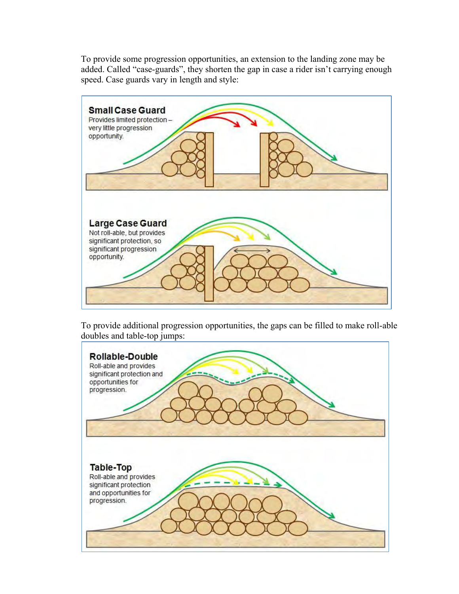To provide some progression opportunities, an extension to the landing zone may be added. Called "case-guards", they shorten the gap in case a rider isn't carrying enough speed. Case guards vary in length and style:



To provide additional progression opportunities, the gaps can be filled to make roll-able doubles and table-top jumps: